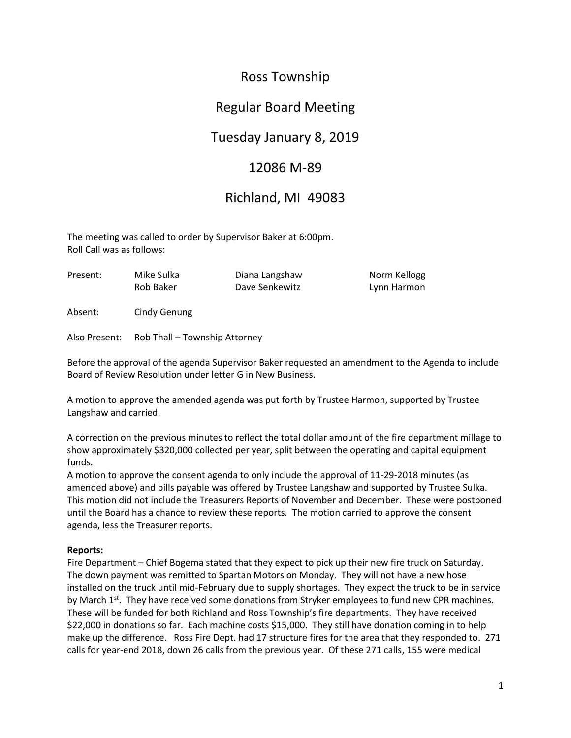# Ross Township

### Regular Board Meeting

## Tuesday January 8, 2019

### 12086 M-89

### Richland, MI 49083

The meeting was called to order by Supervisor Baker at 6:00pm. Roll Call was as follows:

| Present: | Mike Sulka | Diana Langshaw | Norm Kellogg |
|----------|------------|----------------|--------------|
|          | Rob Baker  | Dave Senkewitz | Lynn Harmon  |

Absent: Cindy Genung

Also Present: Rob Thall – Township Attorney

Before the approval of the agenda Supervisor Baker requested an amendment to the Agenda to include Board of Review Resolution under letter G in New Business.

A motion to approve the amended agenda was put forth by Trustee Harmon, supported by Trustee Langshaw and carried.

A correction on the previous minutes to reflect the total dollar amount of the fire department millage to show approximately \$320,000 collected per year, split between the operating and capital equipment funds.

A motion to approve the consent agenda to only include the approval of 11-29-2018 minutes (as amended above) and bills payable was offered by Trustee Langshaw and supported by Trustee Sulka. This motion did not include the Treasurers Reports of November and December. These were postponed until the Board has a chance to review these reports. The motion carried to approve the consent agenda, less the Treasurer reports.

### **Reports:**

Fire Department – Chief Bogema stated that they expect to pick up their new fire truck on Saturday. The down payment was remitted to Spartan Motors on Monday. They will not have a new hose installed on the truck until mid-February due to supply shortages. They expect the truck to be in service by March 1<sup>st</sup>. They have received some donations from Stryker employees to fund new CPR machines. These will be funded for both Richland and Ross Township's fire departments. They have received \$22,000 in donations so far. Each machine costs \$15,000. They still have donation coming in to help make up the difference. Ross Fire Dept. had 17 structure fires for the area that they responded to. 271 calls for year-end 2018, down 26 calls from the previous year. Of these 271 calls, 155 were medical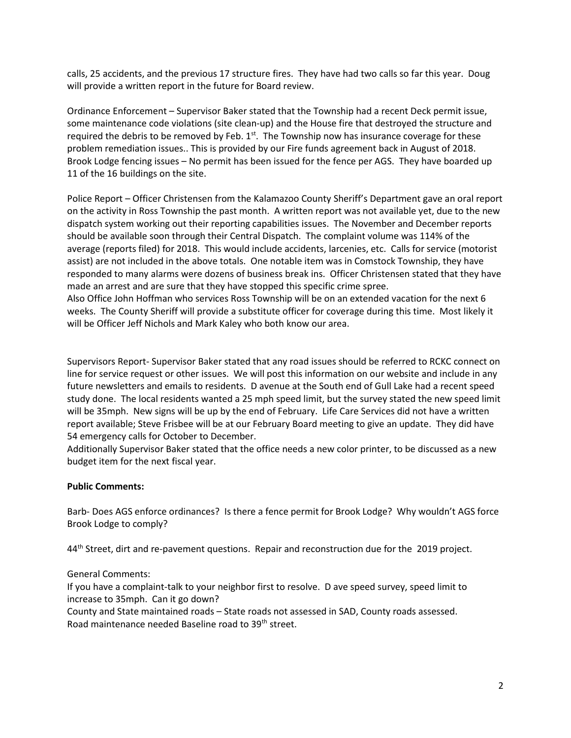calls, 25 accidents, and the previous 17 structure fires. They have had two calls so far this year. Doug will provide a written report in the future for Board review.

Ordinance Enforcement – Supervisor Baker stated that the Township had a recent Deck permit issue, some maintenance code violations (site clean-up) and the House fire that destroyed the structure and required the debris to be removed by Feb.  $1<sup>st</sup>$ . The Township now has insurance coverage for these problem remediation issues.. This is provided by our Fire funds agreement back in August of 2018. Brook Lodge fencing issues – No permit has been issued for the fence per AGS. They have boarded up 11 of the 16 buildings on the site.

Police Report – Officer Christensen from the Kalamazoo County Sheriff's Department gave an oral report on the activity in Ross Township the past month. A written report was not available yet, due to the new dispatch system working out their reporting capabilities issues. The November and December reports should be available soon through their Central Dispatch. The complaint volume was 114% of the average (reports filed) for 2018. This would include accidents, larcenies, etc. Calls for service (motorist assist) are not included in the above totals. One notable item was in Comstock Township, they have responded to many alarms were dozens of business break ins. Officer Christensen stated that they have made an arrest and are sure that they have stopped this specific crime spree.

Also Office John Hoffman who services Ross Township will be on an extended vacation for the next 6 weeks. The County Sheriff will provide a substitute officer for coverage during this time. Most likely it will be Officer Jeff Nichols and Mark Kaley who both know our area.

Supervisors Report- Supervisor Baker stated that any road issues should be referred to RCKC connect on line for service request or other issues. We will post this information on our website and include in any future newsletters and emails to residents. D avenue at the South end of Gull Lake had a recent speed study done. The local residents wanted a 25 mph speed limit, but the survey stated the new speed limit will be 35mph. New signs will be up by the end of February. Life Care Services did not have a written report available; Steve Frisbee will be at our February Board meeting to give an update. They did have 54 emergency calls for October to December.

Additionally Supervisor Baker stated that the office needs a new color printer, to be discussed as a new budget item for the next fiscal year.

#### **Public Comments:**

Barb- Does AGS enforce ordinances? Is there a fence permit for Brook Lodge? Why wouldn't AGS force Brook Lodge to comply?

44<sup>th</sup> Street, dirt and re-pavement questions. Repair and reconstruction due for the 2019 project.

#### General Comments:

If you have a complaint-talk to your neighbor first to resolve. D ave speed survey, speed limit to increase to 35mph. Can it go down?

County and State maintained roads – State roads not assessed in SAD, County roads assessed. Road maintenance needed Baseline road to 39th street.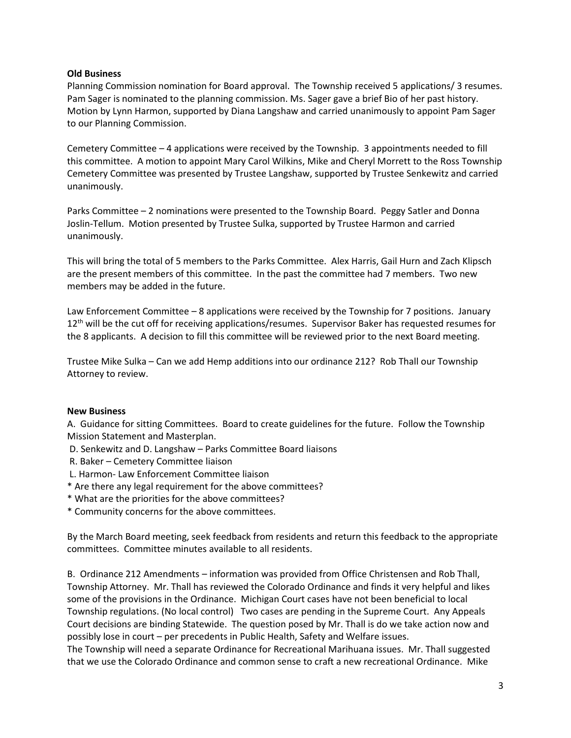#### **Old Business**

Planning Commission nomination for Board approval. The Township received 5 applications/ 3 resumes. Pam Sager is nominated to the planning commission. Ms. Sager gave a brief Bio of her past history. Motion by Lynn Harmon, supported by Diana Langshaw and carried unanimously to appoint Pam Sager to our Planning Commission.

Cemetery Committee – 4 applications were received by the Township. 3 appointments needed to fill this committee. A motion to appoint Mary Carol Wilkins, Mike and Cheryl Morrett to the Ross Township Cemetery Committee was presented by Trustee Langshaw, supported by Trustee Senkewitz and carried unanimously.

Parks Committee – 2 nominations were presented to the Township Board. Peggy Satler and Donna Joslin-Tellum. Motion presented by Trustee Sulka, supported by Trustee Harmon and carried unanimously.

This will bring the total of 5 members to the Parks Committee. Alex Harris, Gail Hurn and Zach Klipsch are the present members of this committee. In the past the committee had 7 members. Two new members may be added in the future.

Law Enforcement Committee – 8 applications were received by the Township for 7 positions. January 12<sup>th</sup> will be the cut off for receiving applications/resumes. Supervisor Baker has requested resumes for the 8 applicants. A decision to fill this committee will be reviewed prior to the next Board meeting.

Trustee Mike Sulka – Can we add Hemp additions into our ordinance 212? Rob Thall our Township Attorney to review.

#### **New Business**

A. Guidance for sitting Committees. Board to create guidelines for the future. Follow the Township Mission Statement and Masterplan.

- D. Senkewitz and D. Langshaw Parks Committee Board liaisons
- R. Baker Cemetery Committee liaison
- L. Harmon- Law Enforcement Committee liaison
- \* Are there any legal requirement for the above committees?
- \* What are the priorities for the above committees?
- \* Community concerns for the above committees.

By the March Board meeting, seek feedback from residents and return this feedback to the appropriate committees. Committee minutes available to all residents.

B. Ordinance 212 Amendments – information was provided from Office Christensen and Rob Thall, Township Attorney. Mr. Thall has reviewed the Colorado Ordinance and finds it very helpful and likes some of the provisions in the Ordinance. Michigan Court cases have not been beneficial to local Township regulations. (No local control) Two cases are pending in the Supreme Court. Any Appeals Court decisions are binding Statewide. The question posed by Mr. Thall is do we take action now and possibly lose in court – per precedents in Public Health, Safety and Welfare issues.

The Township will need a separate Ordinance for Recreational Marihuana issues. Mr. Thall suggested that we use the Colorado Ordinance and common sense to craft a new recreational Ordinance. Mike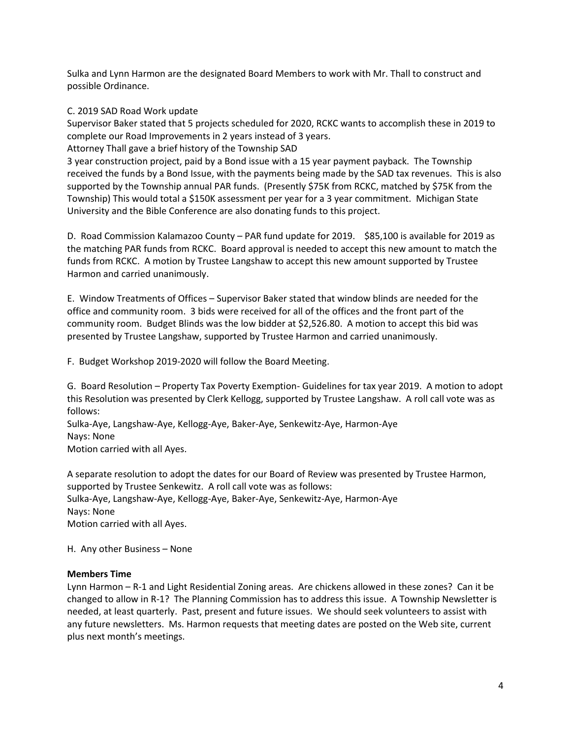Sulka and Lynn Harmon are the designated Board Members to work with Mr. Thall to construct and possible Ordinance.

#### C. 2019 SAD Road Work update

Supervisor Baker stated that 5 projects scheduled for 2020, RCKC wants to accomplish these in 2019 to complete our Road Improvements in 2 years instead of 3 years.

Attorney Thall gave a brief history of the Township SAD

3 year construction project, paid by a Bond issue with a 15 year payment payback. The Township received the funds by a Bond Issue, with the payments being made by the SAD tax revenues. This is also supported by the Township annual PAR funds. (Presently \$75K from RCKC, matched by \$75K from the Township) This would total a \$150K assessment per year for a 3 year commitment. Michigan State University and the Bible Conference are also donating funds to this project.

D. Road Commission Kalamazoo County – PAR fund update for 2019. \$85,100 is available for 2019 as the matching PAR funds from RCKC. Board approval is needed to accept this new amount to match the funds from RCKC. A motion by Trustee Langshaw to accept this new amount supported by Trustee Harmon and carried unanimously.

E. Window Treatments of Offices – Supervisor Baker stated that window blinds are needed for the office and community room. 3 bids were received for all of the offices and the front part of the community room. Budget Blinds was the low bidder at \$2,526.80. A motion to accept this bid was presented by Trustee Langshaw, supported by Trustee Harmon and carried unanimously.

F. Budget Workshop 2019-2020 will follow the Board Meeting.

G. Board Resolution – Property Tax Poverty Exemption- Guidelines for tax year 2019. A motion to adopt this Resolution was presented by Clerk Kellogg, supported by Trustee Langshaw. A roll call vote was as follows:

Sulka-Aye, Langshaw-Aye, Kellogg-Aye, Baker-Aye, Senkewitz-Aye, Harmon-Aye Nays: None Motion carried with all Ayes.

A separate resolution to adopt the dates for our Board of Review was presented by Trustee Harmon, supported by Trustee Senkewitz. A roll call vote was as follows: Sulka-Aye, Langshaw-Aye, Kellogg-Aye, Baker-Aye, Senkewitz-Aye, Harmon-Aye Nays: None Motion carried with all Ayes.

H. Any other Business – None

#### **Members Time**

Lynn Harmon – R-1 and Light Residential Zoning areas. Are chickens allowed in these zones? Can it be changed to allow in R-1? The Planning Commission has to address this issue. A Township Newsletter is needed, at least quarterly. Past, present and future issues. We should seek volunteers to assist with any future newsletters. Ms. Harmon requests that meeting dates are posted on the Web site, current plus next month's meetings.